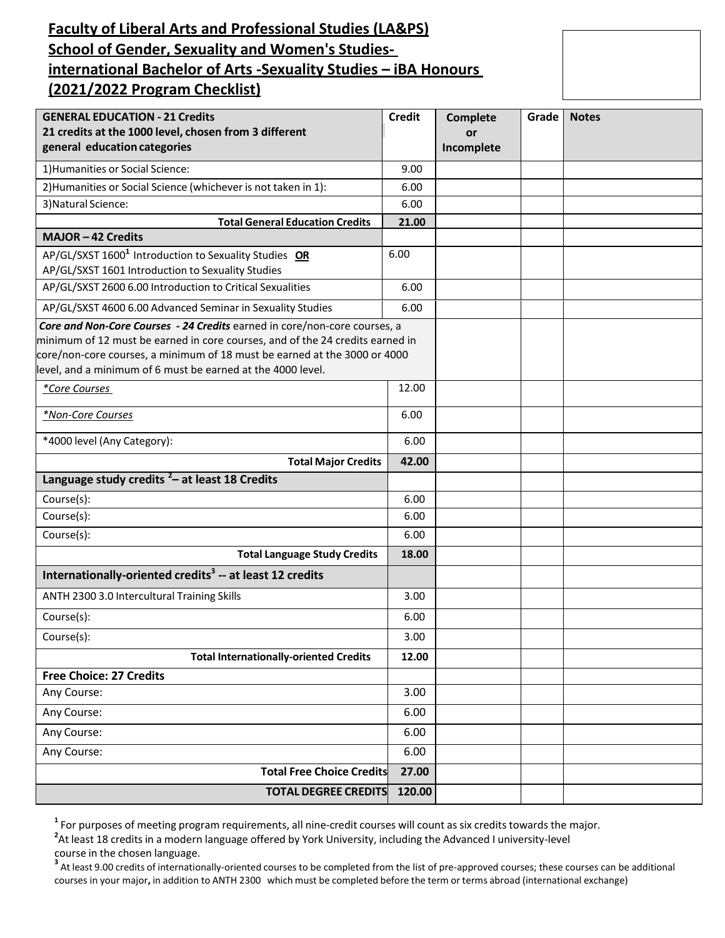# **Faculty of Liberal Arts and Professional Studies (LA&PS) School of Gender, Sexuality and Women's Studiesinternational Bachelor of Arts -Sexuality Studies – iBA Honours (2021/2022 Program Checklist)**

| <b>GENERAL EDUCATION - 21 Credits</b><br>21 credits at the 1000 level, chosen from 3 different<br>general education categories                                                                                                                                                                         | <b>Credit</b> | <b>Complete</b><br>or<br>Incomplete | Grade | <b>Notes</b> |
|--------------------------------------------------------------------------------------------------------------------------------------------------------------------------------------------------------------------------------------------------------------------------------------------------------|---------------|-------------------------------------|-------|--------------|
| 1) Humanities or Social Science:                                                                                                                                                                                                                                                                       | 9.00          |                                     |       |              |
| 2) Humanities or Social Science (whichever is not taken in 1):                                                                                                                                                                                                                                         | 6.00          |                                     |       |              |
| 3) Natural Science:                                                                                                                                                                                                                                                                                    | 6.00          |                                     |       |              |
| <b>Total General Education Credits</b>                                                                                                                                                                                                                                                                 | 21.00         |                                     |       |              |
| MAJOR-42 Credits                                                                                                                                                                                                                                                                                       |               |                                     |       |              |
| AP/GL/SXST 1600 <sup>1</sup> Introduction to Sexuality Studies OR<br>AP/GL/SXST 1601 Introduction to Sexuality Studies                                                                                                                                                                                 | 6.00          |                                     |       |              |
| AP/GL/SXST 2600 6.00 Introduction to Critical Sexualities                                                                                                                                                                                                                                              | 6.00          |                                     |       |              |
| AP/GL/SXST 4600 6.00 Advanced Seminar in Sexuality Studies                                                                                                                                                                                                                                             | 6.00          |                                     |       |              |
| Core and Non-Core Courses - 24 Credits earned in core/non-core courses, a<br>minimum of 12 must be earned in core courses, and of the 24 credits earned in<br>core/non-core courses, a minimum of 18 must be earned at the 3000 or 4000<br>level, and a minimum of 6 must be earned at the 4000 level. |               |                                     |       |              |
| *Core Courses                                                                                                                                                                                                                                                                                          | 12.00         |                                     |       |              |
| *Non-Core Courses                                                                                                                                                                                                                                                                                      | 6.00          |                                     |       |              |
| *4000 level (Any Category):                                                                                                                                                                                                                                                                            | 6.00          |                                     |       |              |
| <b>Total Major Credits</b>                                                                                                                                                                                                                                                                             | 42.00         |                                     |       |              |
| Language study credits $2$ – at least 18 Credits                                                                                                                                                                                                                                                       |               |                                     |       |              |
| Course(s):                                                                                                                                                                                                                                                                                             | 6.00          |                                     |       |              |
| Course(s):                                                                                                                                                                                                                                                                                             | 6.00          |                                     |       |              |
| Course(s):                                                                                                                                                                                                                                                                                             | 6.00          |                                     |       |              |
| <b>Total Language Study Credits</b>                                                                                                                                                                                                                                                                    | 18.00         |                                     |       |              |
| Internationally-oriented credits <sup>3</sup> -- at least 12 credits                                                                                                                                                                                                                                   |               |                                     |       |              |
| ANTH 2300 3.0 Intercultural Training Skills                                                                                                                                                                                                                                                            | 3.00          |                                     |       |              |
| Course(s):                                                                                                                                                                                                                                                                                             | 6.00          |                                     |       |              |
| Course(s):                                                                                                                                                                                                                                                                                             | 3.00          |                                     |       |              |
| <b>Total Internationally-oriented Credits</b>                                                                                                                                                                                                                                                          | 12.00         |                                     |       |              |
| <b>Free Choice: 27 Credits</b>                                                                                                                                                                                                                                                                         |               |                                     |       |              |
| Any Course:                                                                                                                                                                                                                                                                                            | 3.00          |                                     |       |              |
| Any Course:                                                                                                                                                                                                                                                                                            | 6.00          |                                     |       |              |
| Any Course:                                                                                                                                                                                                                                                                                            | 6.00          |                                     |       |              |
| Any Course:                                                                                                                                                                                                                                                                                            | 6.00          |                                     |       |              |
| <b>Total Free Choice Credits</b>                                                                                                                                                                                                                                                                       | 27.00         |                                     |       |              |
| <b>TOTAL DEGREE CREDITS</b><br>120.00                                                                                                                                                                                                                                                                  |               |                                     |       |              |

**1** For purposes of meeting program requirements, all nine-credit courses will count as six credits towards the major.

**2** At least 18 credits in a modern language offered by York University, including the Advanced I university-level course in the chosen language.

<span id="page-0-0"></span><sup>3</sup> At least 9.00 credits of internationally-oriented courses to be completed from the list of pre-approved courses; these courses can be additional courses in your major**,** in addition to ANTH 2300 which must be completed before the term or terms abroad (international exchange)